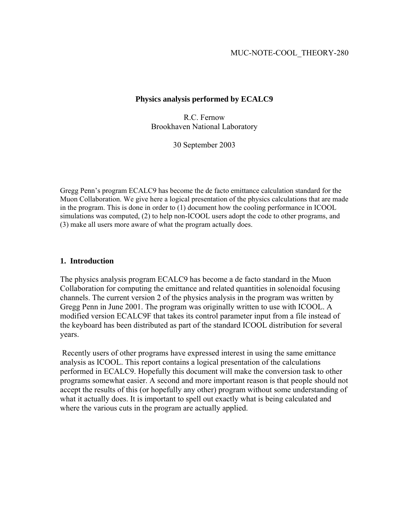# **Physics analysis performed by ECALC9**

R.C. Fernow Brookhaven National Laboratory

30 September 2003

Gregg Penn's program ECALC9 has become the de facto emittance calculation standard for the Muon Collaboration. We give here a logical presentation of the physics calculations that are made in the program. This is done in order to (1) document how the cooling performance in ICOOL simulations was computed, (2) to help non-ICOOL users adopt the code to other programs, and (3) make all users more aware of what the program actually does.

# **1. Introduction**

The physics analysis program ECALC9 has become a de facto standard in the Muon Collaboration for computing the emittance and related quantities in solenoidal focusing channels. The current version 2 of the physics analysis in the program was written by Gregg Penn in June 2001. The program was originally written to use with ICOOL. A modified version ECALC9F that takes its control parameter input from a file instead of the keyboard has been distributed as part of the standard ICOOL distribution for several years.

 Recently users of other programs have expressed interest in using the same emittance analysis as ICOOL. This report contains a logical presentation of the calculations performed in ECALC9. Hopefully this document will make the conversion task to other programs somewhat easier. A second and more important reason is that people should not accept the results of this (or hopefully any other) program without some understanding of what it actually does. It is important to spell out exactly what is being calculated and where the various cuts in the program are actually applied.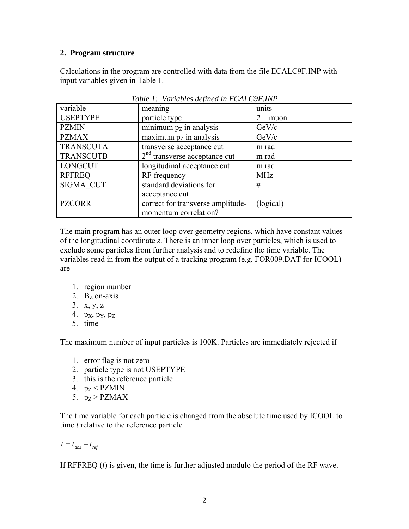# **2. Program structure**

Calculations in the program are controlled with data from the file ECALC9F.INP with input variables given in Table 1.

| variable         | meaning                           | units      |
|------------------|-----------------------------------|------------|
| <b>USEPTYPE</b>  | particle type                     | $2 =$ muon |
| <b>PZMIN</b>     | minimum $pZ$ in analysis          | GeV/c      |
| <b>PZMAX</b>     | maximum $pZ$ in analysis          | GeV/c      |
| <b>TRANSCUTA</b> | transverse acceptance cut         | m rad      |
| <b>TRANSCUTB</b> | $2nd$ transverse acceptance cut   | m rad      |
| <b>LONGCUT</b>   | longitudinal acceptance cut       | m rad      |
| <b>RFFREQ</b>    | RF frequency                      | <b>MHz</b> |
| <b>SIGMA CUT</b> | standard deviations for           | #          |
|                  | acceptance cut                    |            |
| <b>PZCORR</b>    | correct for transverse amplitude- | (logical)  |
|                  | momentum correlation?             |            |

*Table 1: Variables defined in ECALC9F.INP* 

The main program has an outer loop over geometry regions, which have constant values of the longitudinal coordinate *z*. There is an inner loop over particles, which is used to exclude some particles from further analysis and to redefine the time variable. The variables read in from the output of a tracking program (e.g. FOR009.DAT for ICOOL) are

- 1. region number
- 2.  $B<sub>Z</sub>$  on-axis
- 3. x, y, z
- 4.  $p_X$ ,  $p_Y$ ,  $p_Z$
- 5. time

The maximum number of input particles is 100K. Particles are immediately rejected if

- 1. error flag is not zero
- 2. particle type is not USEPTYPE
- 3. this is the reference particle
- 4.  $p_Z < PZMIN$
- 5.  $p_Z > PZMAX$

The time variable for each particle is changed from the absolute time used by ICOOL to time *t* relative to the reference particle

 $t = t_{abs} - t_{ref}$ 

If RFFREQ (*f*) is given, the time is further adjusted modulo the period of the RF wave.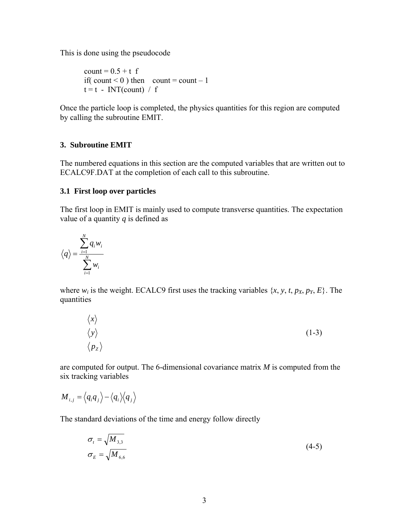This is done using the pseudocode

count = 0.5 + t f if( count < 0 ) then count = count – 1 t = t - INT(count) / f

Once the particle loop is completed, the physics quantities for this region are computed by calling the subroutine EMIT.

# **3. Subroutine EMIT**

The numbered equations in this section are the computed variables that are written out to ECALC9F.DAT at the completion of each call to this subroutine.

# **3.1 First loop over particles**

The first loop in EMIT is mainly used to compute transverse quantities. The expectation value of a quantity *q* is defined as

$$
\left\langle q\right\rangle =\frac{\sum\limits_{i=1}^{N}q_{i}w_{i}}{\sum\limits_{i=1}^{N}w_{i}}
$$

where  $w_i$  is the weight. ECALC9 first uses the tracking variables  $\{x, y, t, p_x, p_y, E\}$ . The quantities

$$
\begin{array}{c}\n\langle x \rangle \\
\langle y \rangle \\
\langle p_z \rangle\n\end{array} \tag{1-3}
$$

are computed for output. The 6-dimensional covariance matrix *M* is computed from the six tracking variables

$$
M_{i,j} = \langle q_i q_j \rangle - \langle q_i \rangle \langle q_j \rangle
$$

The standard deviations of the time and energy follow directly

$$
\sigma_t = \sqrt{M_{3,3}}
$$
  
\n
$$
\sigma_E = \sqrt{M_{6,6}}
$$
\n(4-5)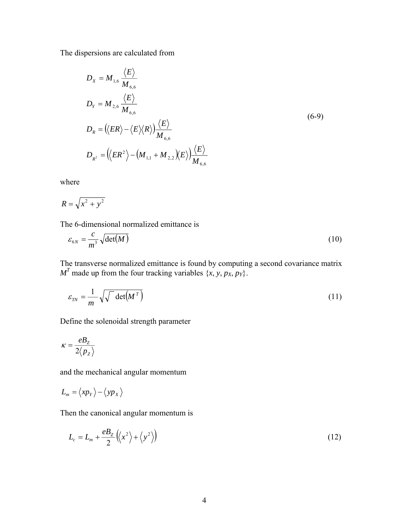The dispersions are calculated from

$$
D_{X} = M_{1,6} \frac{\langle E \rangle}{M_{6,6}}
$$
  
\n
$$
D_{Y} = M_{2,6} \frac{\langle E \rangle}{M_{6,6}}
$$
  
\n
$$
D_{R} = (\langle ER \rangle - \langle E \rangle \langle R \rangle) \frac{\langle E \rangle}{M_{6,6}}
$$
  
\n
$$
D_{R^{2}} = (\langle ER^{2} \rangle - (M_{1,1} + M_{2,2}) \langle E \rangle) \frac{\langle E \rangle}{M_{6,6}}
$$
 (6-9)

where

$$
R = \sqrt{x^2 + y^2}
$$

The 6-dimensional normalized emittance is

$$
\varepsilon_{6N} = \frac{c}{m^3} \sqrt{\det(M)} \tag{10}
$$

The transverse normalized emittance is found by computing a second covariance matrix  $M<sup>T</sup>$  made up from the four tracking variables {*x*, *y*, *p<sub>X</sub>*, *p<sub>Y</sub>*}.

$$
\varepsilon_{\scriptscriptstyle TN} = \frac{1}{m} \sqrt{\sqrt{\det(M^T)}} \tag{11}
$$

Define the solenoidal strength parameter

$$
\kappa = \frac{eB_z}{2\langle p_z \rangle}
$$

and the mechanical angular momentum

$$
L_m = \langle xp_Y \rangle - \langle yp_X \rangle
$$

Then the canonical angular momentum is

$$
L_c = L_m + \frac{eB_z}{2} \left( \left\langle x^2 \right\rangle + \left\langle y^2 \right\rangle \right)
$$
 (12)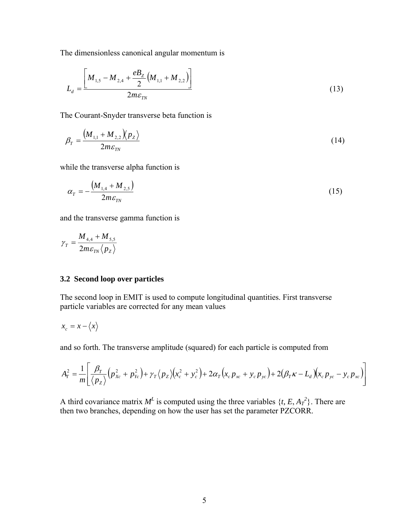The dimensionless canonical angular momentum is

$$
L_{d} = \frac{\left[M_{1,5} - M_{2,4} + \frac{eB_Z}{2} \left(M_{1,1} + M_{2,2}\right)\right]}{2m\varepsilon_{TN}}
$$
\n(13)

The Courant-Snyder transverse beta function is

$$
\beta_T = \frac{\left(M_{1,1} + M_{2,2}\right)\left(p_Z\right)}{2m\varepsilon_{TN}}\tag{14}
$$

while the transverse alpha function is

$$
\alpha_{T} = -\frac{\left(M_{1,4} + M_{2,5}\right)}{2m\varepsilon_{TN}}\tag{15}
$$

and the transverse gamma function is

$$
\gamma_T = \frac{M_{4,4} + M_{5,5}}{2m\varepsilon_{TN}} \langle p_z \rangle
$$

# **3.2 Second loop over particles**

The second loop in EMIT is used to compute longitudinal quantities. First transverse particle variables are corrected for any mean values

$$
x_c = x - \langle x \rangle
$$

and so forth. The transverse amplitude (squared) for each particle is computed from

$$
A_T^2 = \frac{1}{m} \bigg[ \frac{\beta_T}{\langle p_z \rangle} \Big( p_{xc}^2 + p_{yc}^2 \Big) + \gamma_T \big\langle p_z \big\rangle \Big( x_c^2 + y_c^2 \Big) + 2 \alpha_T \big( x_c p_{xc} + y_c p_{yc} \big) + 2 \big( \beta_T \kappa - L_d \big) \big( x_c p_{yc} - y_c p_{xc} \big) \bigg]
$$

A third covariance matrix  $M<sup>L</sup>$  is computed using the three variables  $\{t, E, A_T^2\}$ . There are then two branches, depending on how the user has set the parameter PZCORR.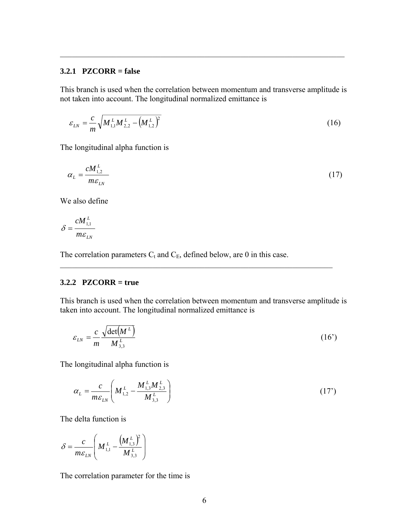# **3.2.1 PZCORR = false**

This branch is used when the correlation between momentum and transverse amplitude is not taken into account. The longitudinal normalized emittance is

 $\mathcal{L}_\text{max}$  , and the contribution of the contribution of the contribution of the contribution of the contribution of the contribution of the contribution of the contribution of the contribution of the contribution of t

$$
\varepsilon_{LN} = \frac{c}{m} \sqrt{M_{1,1}^L M_{2,2}^L - \left(M_{1,2}^L\right)^2}
$$
\n(16)

The longitudinal alpha function is

*L*

$$
\alpha_L = \frac{cM_{1,2}^L}{m\epsilon_{LN}}\tag{17}
$$

We also define

$$
\delta = \frac{c M_{1,1}^L}{m \varepsilon_{LN}}
$$

The correlation parameters  $C_t$  and  $C_E$ , defined below, are 0 in this case.

### **3.2.2 PZCORR = true**

This branch is used when the correlation between momentum and transverse amplitude is taken into account. The longitudinal normalized emittance is

 $\mathcal{L}_\mathcal{L} = \{ \mathcal{L}_\mathcal{L} = \{ \mathcal{L}_\mathcal{L} = \{ \mathcal{L}_\mathcal{L} = \{ \mathcal{L}_\mathcal{L} = \{ \mathcal{L}_\mathcal{L} = \{ \mathcal{L}_\mathcal{L} = \{ \mathcal{L}_\mathcal{L} = \{ \mathcal{L}_\mathcal{L} = \{ \mathcal{L}_\mathcal{L} = \{ \mathcal{L}_\mathcal{L} = \{ \mathcal{L}_\mathcal{L} = \{ \mathcal{L}_\mathcal{L} = \{ \mathcal{L}_\mathcal{L} = \{ \mathcal{L}_\mathcal{$ 

$$
\varepsilon_{LN} = \frac{c}{m} \frac{\sqrt{\det(M^L)}}{M_{3,3}^L} \tag{16'}
$$

The longitudinal alpha function is

$$
\alpha_L = \frac{c}{m \varepsilon_{LN}} \left( M_{1,2}^L - \frac{M_{1,3}^L M_{2,3}^L}{M_{3,3}^L} \right) \tag{17'}
$$

The delta function is

$$
\delta = \frac{c}{m \varepsilon_{LN}} \left( M_{1,1}^{L} - \frac{\left( M_{1,3}^{L} \right)^{2}}{M_{3,3}^{L}} \right)
$$

The correlation parameter for the time is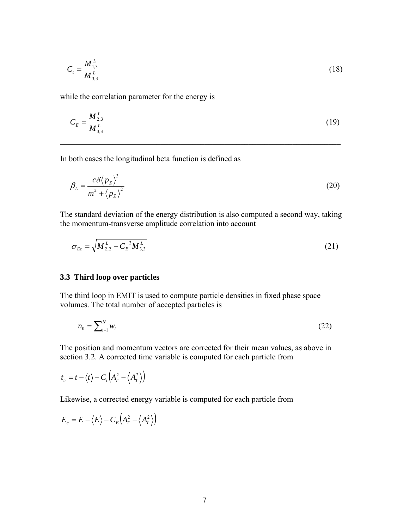$$
C_t = \frac{M_{1,3}^L}{M_{3,3}^L} \tag{18}
$$

while the correlation parameter for the energy is

$$
C_E = \frac{M_{2,3}^L}{M_{3,3}^L} \tag{19}
$$

 $\mathcal{L}_\mathcal{L} = \{ \mathcal{L}_\mathcal{L} = \{ \mathcal{L}_\mathcal{L} = \{ \mathcal{L}_\mathcal{L} = \{ \mathcal{L}_\mathcal{L} = \{ \mathcal{L}_\mathcal{L} = \{ \mathcal{L}_\mathcal{L} = \{ \mathcal{L}_\mathcal{L} = \{ \mathcal{L}_\mathcal{L} = \{ \mathcal{L}_\mathcal{L} = \{ \mathcal{L}_\mathcal{L} = \{ \mathcal{L}_\mathcal{L} = \{ \mathcal{L}_\mathcal{L} = \{ \mathcal{L}_\mathcal{L} = \{ \mathcal{L}_\mathcal{$ 

In both cases the longitudinal beta function is defined as

$$
\beta_L = \frac{c \delta \langle p_z \rangle^3}{m^2 + \langle p_z \rangle^2} \tag{20}
$$

The standard deviation of the energy distribution is also computed a second way, taking the momentum-transverse amplitude correlation into account

$$
\sigma_{Ec} = \sqrt{M_{2,2}^L - C_E^2 M_{3,3}^L}
$$
 (21)

#### **3.3 Third loop over particles**

The third loop in EMIT is used to compute particle densities in fixed phase space volumes. The total number of accepted particles is

$$
n_0 = \sum_{i=1}^{N} w_i \tag{22}
$$

The position and momentum vectors are corrected for their mean values, as above in section 3.2. A corrected time variable is computed for each particle from

$$
t_c = t - \langle t \rangle - C_t \Big( A_T^2 - \Big\langle A_T^2 \Big\rangle \Big)
$$

Likewise, a corrected energy variable is computed for each particle from

$$
E_c = E - \langle E \rangle - C_E \Big( A_T^2 - \langle A_T^2 \rangle \Big)
$$